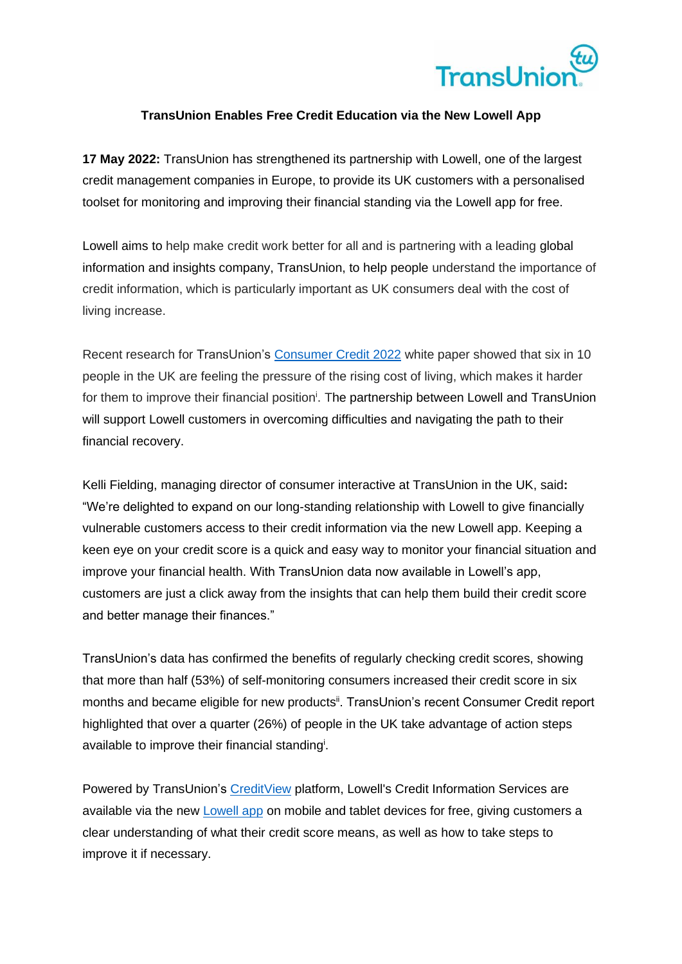

## **TransUnion Enables Free Credit Education via the New Lowell App**

**17 May 2022:** TransUnion has strengthened its partnership with Lowell, one of the largest credit management companies in Europe, to provide its UK customers with a personalised toolset for monitoring and improving their financial standing via the Lowell app for free.

Lowell aims to help make credit work better for all and is partnering with a leading global information and insights company, TransUnion, to help people understand the importance of credit information, which is particularly important as UK consumers deal with the cost of living increase.

<span id="page-0-0"></span>Recent research for TransUnion's [Consumer Credit 2022](https://solutions.transunion.co.uk/consumer-credit-2022/?utm_campaign=CR-22-111331-Cost-of-Living-Programme&utm_content=white-paper&utm_medium=press-release&utm_source=press-release&utmsource=press-release) white paper showed that six in 10 people in the UK are feeling the pressure of the rising cost of living, which makes it harder for them to improve their financial position<sup>i</sup>. The partnership between Lowell and TransUnion will support Lowell customers in overcoming difficulties and navigating the path to their financial recovery.

Kelli Fielding, managing director of consumer interactive at TransUnion in the UK, said**:**  "We're delighted to expand on our long-standing relationship with Lowell to give financially vulnerable customers access to their credit information via the new Lowell app. Keeping a keen eye on your credit score is a quick and easy way to monitor your financial situation and improve your financial health. With TransUnion data now available in Lowell's app, customers are just a click away from the insights that can help them build their credit score and better manage their finances."

TransUnion's data has confirmed the benefits of regularly checking credit scores, showing that more than half (53%) of self-monitoring consumers increased their credit score in six months and became eligible for new products<sup>ii</sup>. TransUnion's recent Consumer Credit report highlighted that over a quarter (26%) of people in the UK take advantage of action steps available to improve their financial standin[g](#page-0-0)<sup>i</sup>.

Powered by TransUnion's [CreditView](https://www.transunion.co.uk/product/credit-view?utm_campaign=consumer-empowerment-lowell-press-release&utm_content=landing-page&utm_medium=press-release&utm_source=press-release&utmsource=press-release) platform, Lowell's Credit Information Services are available via the new [Lowell app](https://www.lowell.co.uk/mobile-app/) on mobile and tablet devices for free, giving customers a clear understanding of what their credit score means, as well as how to take steps to improve it if necessary.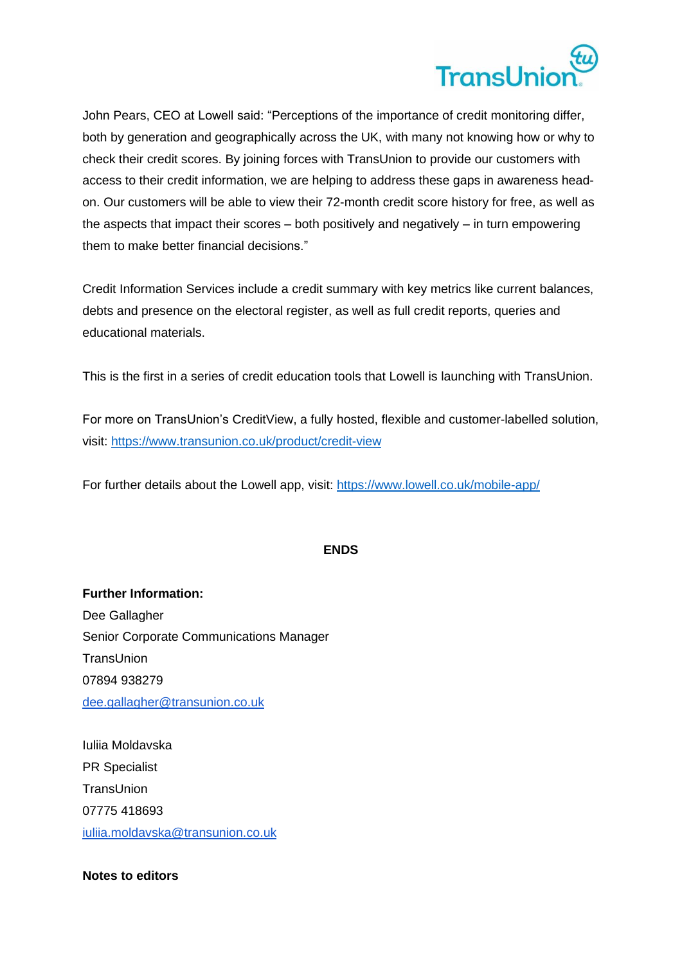

John Pears, CEO at Lowell said: "Perceptions of the importance of credit monitoring differ, both by generation and geographically across the UK, with many not knowing how or why to check their credit scores. By joining forces with TransUnion to provide our customers with access to their credit information, we are helping to address these gaps in awareness headon. Our customers will be able to view their 72-month credit score history for free, as well as the aspects that impact their scores – both positively and negatively – in turn empowering them to make better financial decisions."

Credit Information Services include a credit summary with key metrics like current balances, debts and presence on the electoral register, as well as full credit reports, queries and educational materials.

This is the first in a series of credit education tools that Lowell is launching with TransUnion.

For more on TransUnion's CreditView, a fully hosted, flexible and customer-labelled solution, visit: <https://www.transunion.co.uk/product/credit-view>

For further details about the Lowell app, visit: <https://www.lowell.co.uk/mobile-app/>

## **ENDS**

**Further Information:**  Dee Gallagher Senior Corporate Communications Manager **TransUnion** 07894 938279 dee.gallagher@transunion.co.uk

Iuliia Moldavska PR Specialist TransUnion 07775 418693 iuliia.moldavska@transunion.co.uk

**Notes to editors**